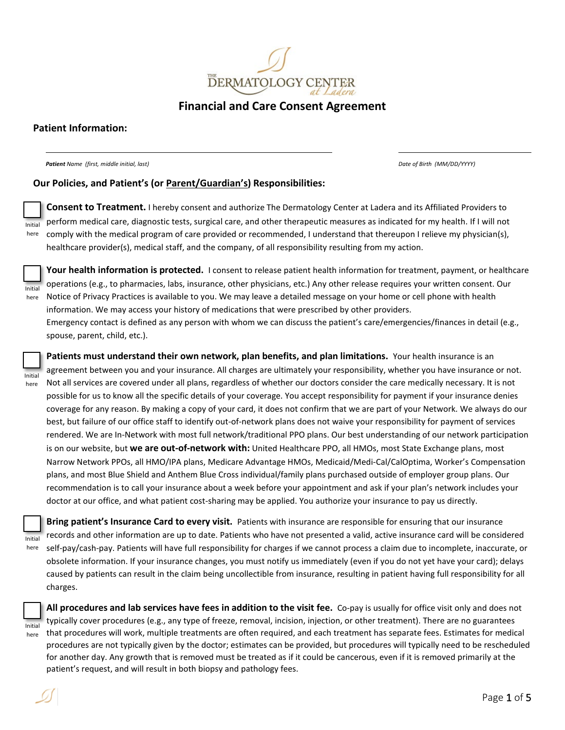

**Financial and Care Consent Agreement**

# **Patient Information:**

*Patient Name (first, middle initial, last) Date of Birth (MM/DD/YYYY)*

### **Our Policies, and Patient's (or Parent/Guardian's) Responsibilities:**

Initial here

**Consent to Treatment.** I hereby consent and authorize The Dermatology Center at Ladera and its Affiliated Providers to perform medical care, diagnostic tests, surgical care, and other therapeutic measures as indicated for my health. If I will not comply with the medical program of care provided or recommended, I understand that thereupon I relieve my physician(s), healthcare provider(s), medical staff, and the company, of all responsibility resulting from my action.



Initial here

**Your health information is protected.** I consent to release patient health information for treatment, payment, or healthcare operations (e.g., to pharmacies, labs, insurance, other physicians, etc.) Any other release requires your written consent. Our Notice of Privacy Practices is available to you. We may leave a detailed message on your home or cell phone with health information. We may access your history of medications that were prescribed by other providers. Emergency contact is defined as any person with whom we can discuss the patient's care/emergencies/finances in detail (e.g., spouse, parent, child, etc.).

**Patients must understand their own network, plan benefits, and plan limitations.** Your health insurance is an agreement between you and your insurance. All charges are ultimately your responsibility, whether you have insurance or not. Not all services are covered under all plans, regardless of whether our doctors consider the care medically necessary. It is not possible for us to know all the specific details of your coverage. You accept responsibility for payment if your insurance denies coverage for any reason. By making a copy of your card, it does not confirm that we are part of your Network. We always do our best, but failure of our office staff to identify out-of-network plans does not waive your responsibility for payment of services rendered. We are In-Network with most full network/traditional PPO plans. Our best understanding of our network participation is on our website, but **we are out-of-network with:** United Healthcare PPO, all HMOs, most State Exchange plans, most Narrow Network PPOs, all HMO/IPA plans, Medicare Advantage HMOs, Medicaid/Medi-Cal/CalOptima, Worker's Compensation plans, and most Blue Shield and Anthem Blue Cross individual/family plans purchased outside of employer group plans. Our recommendation is to call your insurance about a week before your appointment and ask if your plan's network includes your doctor at our office, and what patient cost-sharing may be applied. You authorize your insurance to pay us directly.

**Bring patient's Insurance Card to every visit.** Patients with insurance are responsible for ensuring that our insurance records and other information are up to date. Patients who have not presented a valid, active insurance card will be considered self-pay/cash-pay. Patients will have full responsibility for charges if we cannot process a claim due to incomplete, inaccurate, or obsolete information. If your insurance changes, you must notify us immediately (even if you do not yet have your card); delays caused by patients can result in the claim being uncollectible from insurance, resulting in patient having full responsibility for all charges. Initial



here

**All procedures and lab services have fees in addition to the visit fee.** Co-pay is usually for office visit only and does not typically cover procedures (e.g., any type of freeze, removal, incision, injection, or other treatment). There are no guarantees that procedures will work, multiple treatments are often required, and each treatment has separate fees. Estimates for medical procedures are not typically given by the doctor; estimates can be provided, but procedures will typically need to be rescheduled for another day. Any growth that is removed must be treated as if it could be cancerous, even if it is removed primarily at the patient's request, and will result in both biopsy and pathology fees.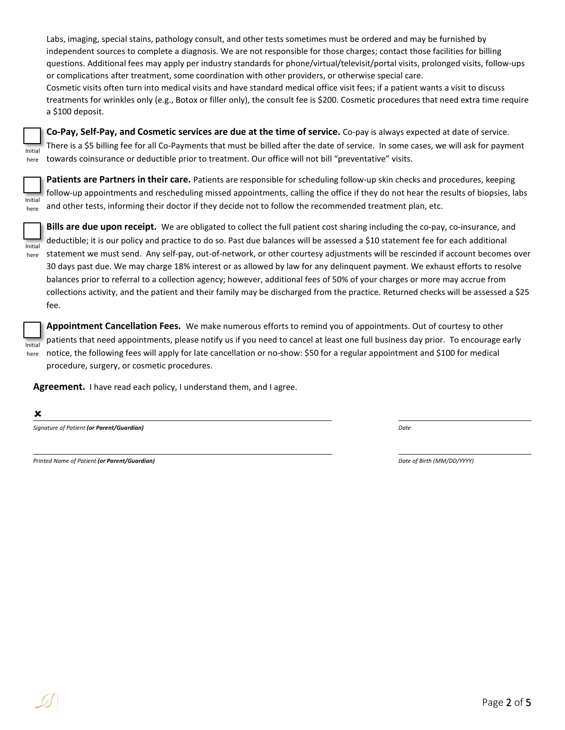Labs, imaging, special stains, pathology consult, and other tests sometimes must be ordered and may be furnished by independent sources to complete a diagnosis. We are not responsible for those charges; contact those facilities for billing questions. Additional fees may apply per industry standards for phone/virtual/televisit/portal visits, prolonged visits, follow-ups or complications after treatment, some coordination with other providers, or otherwise special care. Cosmetic visits often turn into medical visits and have standard medical office visit fees; if a patient wants a visit to discuss treatments for wrinkles only (e.g., Botox or filler only), the consult fee is \$200. Cosmetic procedures that need extra time require

| Initial |
|---------|

a \$100 deposit.

**Co-Pay, Self-Pay, and Cosmetic services are due at the time of service.** Co-pay is always expected at date of service. There is a \$5 billing fee for all Co-Payments that must be billed after the date of service. In some cases, we will ask for payment here towards coinsurance or deductible prior to treatment. Our office will not bill "preventative" visits.



**Patients are Partners in their care.** Patients are responsible for scheduling follow-up skin checks and procedures, keeping follow-up appointments and rescheduling missed appointments, calling the office if they do not hear the results of biopsies, labs and other tests, informing their doctor if they decide not to follow the recommended treatment plan, etc.



**Bills are due upon receipt.** We are obligated to collect the full patient cost sharing including the co-pay, co-insurance, and deductible; it is our policy and practice to do so. Past due balances will be assessed a \$10 statement fee for each additional statement we must send. Any self-pay, out-of-network, or other courtesy adjustments will be rescinded if account becomes over 30 days past due. We may charge 18% interest or as allowed by law for any delinquent payment. We exhaust efforts to resolve balances prior to referral to a collection agency; however, additional fees of 50% of your charges or more may accrue from collections activity, and the patient and their family may be discharged from the practice. Returned checks will be assessed a \$25 fee.

**Appointment Cancellation Fees.** We make numerous efforts to remind you of appointments. Out of courtesy to other patients that need appointments, please notify us if you need to cancel at least one full business day prior. To encourage early notice, the following fees will apply for late cancellation or no-show: \$50 for a regular appointment and \$100 for medical procedure, surgery, or cosmetic procedures. Initial here

**Agreement.** I have read each policy, I understand them, and I agree.

×

*Signature of Patient (or Parent/Guardian) Date*

*Printed Name of Patient (or Parent/Guardian) Date of Birth (MM/DD/YYYY)*

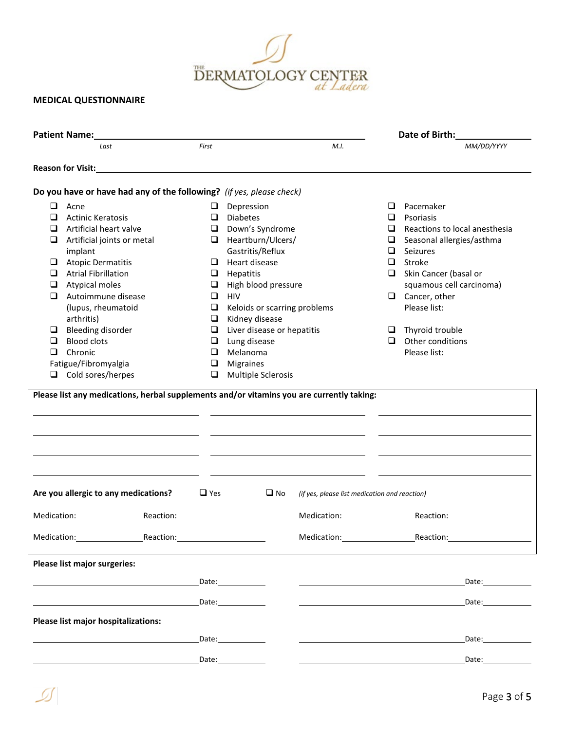

## **MEDICAL QUESTIONNAIRE**

|        | <b>Patient Name:</b>                                                                                                    |            |                                                                                                                                                                                                                                |                                                                                 |   | Date of Birth:                   |
|--------|-------------------------------------------------------------------------------------------------------------------------|------------|--------------------------------------------------------------------------------------------------------------------------------------------------------------------------------------------------------------------------------|---------------------------------------------------------------------------------|---|----------------------------------|
|        | Last                                                                                                                    | First      |                                                                                                                                                                                                                                | M.I.                                                                            |   | MM/DD/YYYY                       |
|        |                                                                                                                         |            |                                                                                                                                                                                                                                |                                                                                 |   |                                  |
|        | Do you have or have had any of the following? (if yes, please check)                                                    |            |                                                                                                                                                                                                                                |                                                                                 |   |                                  |
| Q.     | Acne                                                                                                                    | u          | Depression                                                                                                                                                                                                                     |                                                                                 |   | $\Box$ Pacemaker                 |
| ❏      | <b>Actinic Keratosis</b>                                                                                                | ❏          | <b>Diabetes</b>                                                                                                                                                                                                                |                                                                                 | □ | Psoriasis                        |
| ❏      | Artificial heart valve                                                                                                  | $\Box$     | Down's Syndrome                                                                                                                                                                                                                |                                                                                 | □ | Reactions to local anesthesia    |
| Q.     | Artificial joints or metal                                                                                              | $\Box$     | Heartburn/Ulcers/                                                                                                                                                                                                              |                                                                                 |   | $\Box$ Seasonal allergies/asthma |
|        | implant                                                                                                                 |            | Gastritis/Reflux                                                                                                                                                                                                               |                                                                                 |   | $\Box$ Seizures                  |
| ❏      | <b>Atopic Dermatitis</b>                                                                                                | ⊔          | Heart disease                                                                                                                                                                                                                  |                                                                                 | □ | Stroke                           |
| O.     | <b>Atrial Fibrillation</b>                                                                                              | $\Box$     | Hepatitis                                                                                                                                                                                                                      |                                                                                 |   | $\Box$ Skin Cancer (basal or     |
| $\Box$ | Atypical moles                                                                                                          | $\Box$     | High blood pressure                                                                                                                                                                                                            |                                                                                 |   | squamous cell carcinoma)         |
| ❏      | Autoimmune disease                                                                                                      | $\Box$     | HIV                                                                                                                                                                                                                            |                                                                                 |   | $\Box$ Cancer, other             |
|        | (lupus, rheumatoid                                                                                                      | $\Box$     | Keloids or scarring problems                                                                                                                                                                                                   |                                                                                 |   | Please list:                     |
|        | arthritis)                                                                                                              | $\Box$     | Kidney disease                                                                                                                                                                                                                 |                                                                                 |   |                                  |
| ❏      | <b>Bleeding disorder</b>                                                                                                | ❏          | Liver disease or hepatitis                                                                                                                                                                                                     |                                                                                 |   | $\Box$ Thyroid trouble           |
| ⊔      | <b>Blood clots</b>                                                                                                      | $\Box$     | Lung disease                                                                                                                                                                                                                   |                                                                                 |   | $\Box$ Other conditions          |
| ❏      | Chronic                                                                                                                 | ❏          | Melanoma                                                                                                                                                                                                                       |                                                                                 |   | Please list:                     |
|        | Fatigue/Fibromyalgia                                                                                                    | □          | Migraines                                                                                                                                                                                                                      |                                                                                 |   |                                  |
|        | $\Box$ Cold sores/herpes                                                                                                | ❏          | Multiple Sclerosis                                                                                                                                                                                                             |                                                                                 |   |                                  |
|        |                                                                                                                         |            |                                                                                                                                                                                                                                | the contract of the contract of the contract of the contract of the contract of |   |                                  |
|        | the contract of the contract of the contract of the contract of the contract of<br>Are you allergic to any medications? | $\Box$ Yes | $\square$ No                                                                                                                                                                                                                   | (if yes, please list medication and reaction)                                   |   |                                  |
|        | Medication: Reaction: Reaction:                                                                                         |            |                                                                                                                                                                                                                                |                                                                                 |   | Medication: Reaction: Reaction:  |
|        | Medication: Reaction: Reaction:                                                                                         |            |                                                                                                                                                                                                                                | Medication: Reaction:                                                           |   |                                  |
|        | Please list major surgeries:                                                                                            |            |                                                                                                                                                                                                                                |                                                                                 |   |                                  |
|        |                                                                                                                         |            |                                                                                                                                                                                                                                |                                                                                 |   | Date:                            |
|        |                                                                                                                         |            | Date: the contract of the contract of the contract of the contract of the contract of the contract of the contract of the contract of the contract of the contract of the contract of the contract of the contract of the cont |                                                                                 |   | Date:                            |
|        | Please list major hospitalizations:                                                                                     |            |                                                                                                                                                                                                                                |                                                                                 |   |                                  |
|        |                                                                                                                         |            | Date: the contract of the contract of the contract of the contract of the contract of the contract of the contract of the contract of the contract of the contract of the contract of the contract of the contract of the cont |                                                                                 |   | Date:                            |
|        |                                                                                                                         | Date:      |                                                                                                                                                                                                                                |                                                                                 |   | Date:                            |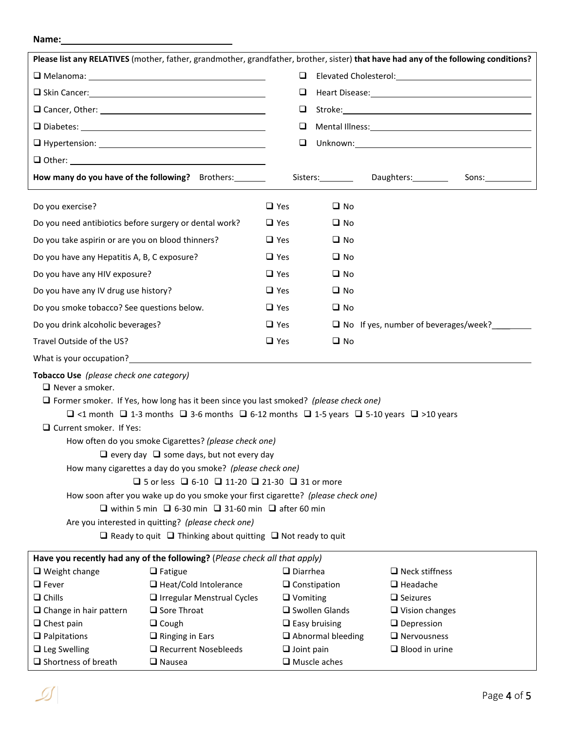#### **Name:**

|                                                                          |                                                                                                                            |                   |                                                                                                                                                                                                                                | Please list any RELATIVES (mother, father, grandmother, grandfather, brother, sister) that have had any of the following conditions? |  |  |  |  |
|--------------------------------------------------------------------------|----------------------------------------------------------------------------------------------------------------------------|-------------------|--------------------------------------------------------------------------------------------------------------------------------------------------------------------------------------------------------------------------------|--------------------------------------------------------------------------------------------------------------------------------------|--|--|--|--|
|                                                                          | □                                                                                                                          |                   | Elevated Cholesterol: Note and Allen Cholesterol and Allen Cholesterol and Allen Cholesterol and Allen Cholesterol and Allen Cholesterol and Allen Cholesterol and Allen Cholesterol and Allen Cholesterol and Allen Cholester |                                                                                                                                      |  |  |  |  |
|                                                                          | ❏<br>$\Box$                                                                                                                |                   |                                                                                                                                                                                                                                |                                                                                                                                      |  |  |  |  |
|                                                                          |                                                                                                                            |                   |                                                                                                                                                                                                                                |                                                                                                                                      |  |  |  |  |
|                                                                          | ❏                                                                                                                          |                   |                                                                                                                                                                                                                                |                                                                                                                                      |  |  |  |  |
|                                                                          | ❏                                                                                                                          |                   |                                                                                                                                                                                                                                |                                                                                                                                      |  |  |  |  |
|                                                                          |                                                                                                                            |                   |                                                                                                                                                                                                                                |                                                                                                                                      |  |  |  |  |
| How many do you have of the following? Brothers:                         |                                                                                                                            |                   | Sisters: Daughters: Daughters:                                                                                                                                                                                                 | Sons:                                                                                                                                |  |  |  |  |
| Do you exercise?                                                         |                                                                                                                            | $\Box$ Yes        | $\Box$ No                                                                                                                                                                                                                      |                                                                                                                                      |  |  |  |  |
| Do you need antibiotics before surgery or dental work?                   |                                                                                                                            | $\Box$ Yes        | $\Box$ No                                                                                                                                                                                                                      |                                                                                                                                      |  |  |  |  |
| Do you take aspirin or are you on blood thinners?                        |                                                                                                                            | $\Box$ Yes        | $\Box$ No                                                                                                                                                                                                                      |                                                                                                                                      |  |  |  |  |
| Do you have any Hepatitis A, B, C exposure?                              |                                                                                                                            | $\Box$ Yes        | $\square$ No                                                                                                                                                                                                                   |                                                                                                                                      |  |  |  |  |
| Do you have any HIV exposure?                                            |                                                                                                                            | $\Box$ Yes        | $\square$ No                                                                                                                                                                                                                   |                                                                                                                                      |  |  |  |  |
|                                                                          |                                                                                                                            | $\Box$ Yes        | $\Box$ No                                                                                                                                                                                                                      |                                                                                                                                      |  |  |  |  |
| Do you have any IV drug use history?                                     |                                                                                                                            |                   |                                                                                                                                                                                                                                |                                                                                                                                      |  |  |  |  |
| Do you smoke tobacco? See questions below.                               |                                                                                                                            | $\Box$ Yes        | $\square$ No                                                                                                                                                                                                                   |                                                                                                                                      |  |  |  |  |
| Do you drink alcoholic beverages?                                        | $\Box$ Yes                                                                                                                 |                   | $\Box$ No If yes, number of beverages/week?                                                                                                                                                                                    |                                                                                                                                      |  |  |  |  |
| Travel Outside of the US?                                                |                                                                                                                            | $\Box$ Yes        | $\square$ No                                                                                                                                                                                                                   |                                                                                                                                      |  |  |  |  |
|                                                                          |                                                                                                                            |                   |                                                                                                                                                                                                                                |                                                                                                                                      |  |  |  |  |
| Tobacco Use (please check one category)<br>$\Box$ Never a smoker.        |                                                                                                                            |                   |                                                                                                                                                                                                                                |                                                                                                                                      |  |  |  |  |
|                                                                          | $\Box$ Former smoker. If Yes, how long has it been since you last smoked? (please check one)                               |                   |                                                                                                                                                                                                                                |                                                                                                                                      |  |  |  |  |
|                                                                          | $\Box$ <1 month $\Box$ 1-3 months $\Box$ 3-6 months $\Box$ 6-12 months $\Box$ 1-5 years $\Box$ 5-10 years $\Box$ >10 years |                   |                                                                                                                                                                                                                                |                                                                                                                                      |  |  |  |  |
| $\Box$ Current smoker. If Yes:                                           |                                                                                                                            |                   |                                                                                                                                                                                                                                |                                                                                                                                      |  |  |  |  |
|                                                                          | How often do you smoke Cigarettes? (please check one)                                                                      |                   |                                                                                                                                                                                                                                |                                                                                                                                      |  |  |  |  |
| $\Box$ every day $\Box$ some days, but not every day                     |                                                                                                                            |                   |                                                                                                                                                                                                                                |                                                                                                                                      |  |  |  |  |
|                                                                          | How many cigarettes a day do you smoke? (please check one)                                                                 |                   |                                                                                                                                                                                                                                |                                                                                                                                      |  |  |  |  |
|                                                                          | $\Box$ 5 or less $\Box$ 6-10 $\Box$ 11-20 $\Box$ 21-30 $\Box$ 31 or more                                                   |                   |                                                                                                                                                                                                                                |                                                                                                                                      |  |  |  |  |
|                                                                          | How soon after you wake up do you smoke your first cigarette? (please check one)                                           |                   |                                                                                                                                                                                                                                |                                                                                                                                      |  |  |  |  |
| $\Box$ within 5 min $\Box$ 6-30 min $\Box$ 31-60 min $\Box$ after 60 min |                                                                                                                            |                   |                                                                                                                                                                                                                                |                                                                                                                                      |  |  |  |  |
| Are you interested in quitting? (please check one)                       |                                                                                                                            |                   |                                                                                                                                                                                                                                |                                                                                                                                      |  |  |  |  |
|                                                                          | $\Box$ Ready to quit $\Box$ Thinking about quitting $\Box$ Not ready to quit                                               |                   |                                                                                                                                                                                                                                |                                                                                                                                      |  |  |  |  |
|                                                                          | Have you recently had any of the following? (Please check all that apply)                                                  |                   |                                                                                                                                                                                                                                |                                                                                                                                      |  |  |  |  |
| $\Box$ Weight change                                                     | $\Box$ Fatigue                                                                                                             | $\Box$ Diarrhea   |                                                                                                                                                                                                                                | $\Box$ Neck stiffness                                                                                                                |  |  |  |  |
| $\Box$ Fever                                                             | □ Heat/Cold Intolerance                                                                                                    |                   | $\Box$ Constipation                                                                                                                                                                                                            | $\Box$ Headache                                                                                                                      |  |  |  |  |
| $\Box$ Chills                                                            | $\Box$ Irregular Menstrual Cycles                                                                                          | $\Box$ Vomiting   |                                                                                                                                                                                                                                | $\Box$ Seizures                                                                                                                      |  |  |  |  |
| $\Box$ Change in hair pattern                                            | □ Sore Throat                                                                                                              |                   | Swollen Glands                                                                                                                                                                                                                 | $\Box$ Vision changes                                                                                                                |  |  |  |  |
| $\Box$ Chest pain                                                        | $\Box$ Cough                                                                                                               |                   | $\Box$ Easy bruising                                                                                                                                                                                                           | $\Box$ Depression                                                                                                                    |  |  |  |  |
| $\Box$ Palpitations                                                      | $\Box$ Ringing in Ears                                                                                                     |                   | $\Box$ Abnormal bleeding                                                                                                                                                                                                       | $\Box$ Nervousness                                                                                                                   |  |  |  |  |
| $\Box$ Leg Swelling                                                      | Recurrent Nosebleeds                                                                                                       | $\Box$ Joint pain |                                                                                                                                                                                                                                | $\Box$ Blood in urine                                                                                                                |  |  |  |  |
| $\Box$ Shortness of breath                                               | $\Box$ Nausea                                                                                                              |                   | $\Box$ Muscle aches                                                                                                                                                                                                            |                                                                                                                                      |  |  |  |  |